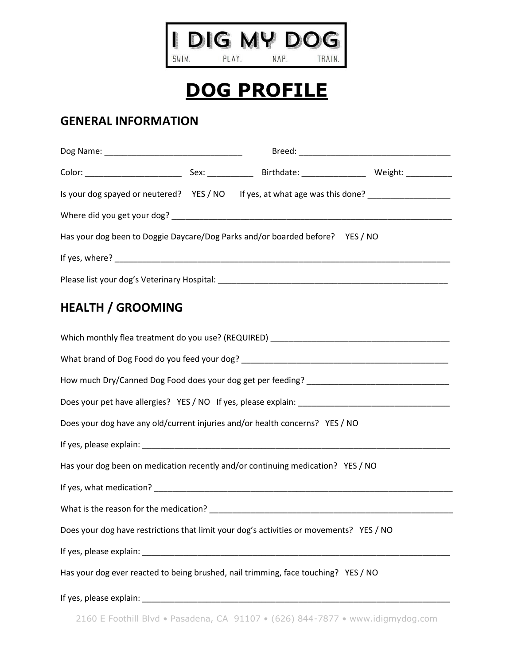

NAP. TRAIN.

## **DOG PROFILE**

## **GENERAL INFORMATION**

| Is your dog spayed or neutered? YES / NO If yes, at what age was this done? __________________ |  |  |  |  |
|------------------------------------------------------------------------------------------------|--|--|--|--|
|                                                                                                |  |  |  |  |
| Has your dog been to Doggie Daycare/Dog Parks and/or boarded before? YES / NO                  |  |  |  |  |
|                                                                                                |  |  |  |  |
|                                                                                                |  |  |  |  |
| <b>HEALTH / GROOMING</b>                                                                       |  |  |  |  |
|                                                                                                |  |  |  |  |
|                                                                                                |  |  |  |  |
|                                                                                                |  |  |  |  |
|                                                                                                |  |  |  |  |
| Does your dog have any old/current injuries and/or health concerns? YES / NO                   |  |  |  |  |
|                                                                                                |  |  |  |  |
| Has your dog been on medication recently and/or continuing medication? YES / NO                |  |  |  |  |
|                                                                                                |  |  |  |  |
|                                                                                                |  |  |  |  |
| Does your dog have restrictions that limit your dog's activities or movements? YES / NO        |  |  |  |  |
|                                                                                                |  |  |  |  |
| Has your dog ever reacted to being brushed, nail trimming, face touching? YES / NO             |  |  |  |  |

If yes, please explain: \_\_\_\_\_\_\_\_\_\_\_\_\_\_\_\_\_\_\_\_\_\_\_\_\_\_\_\_\_\_\_\_\_\_\_\_\_\_\_\_\_\_\_\_\_\_\_\_\_\_\_\_\_\_\_\_\_\_\_\_\_\_\_\_\_\_\_

2160 E Foothill Blvd • Pasadena, CA 91107 • (626) 844-7877 • www.idigmydog.com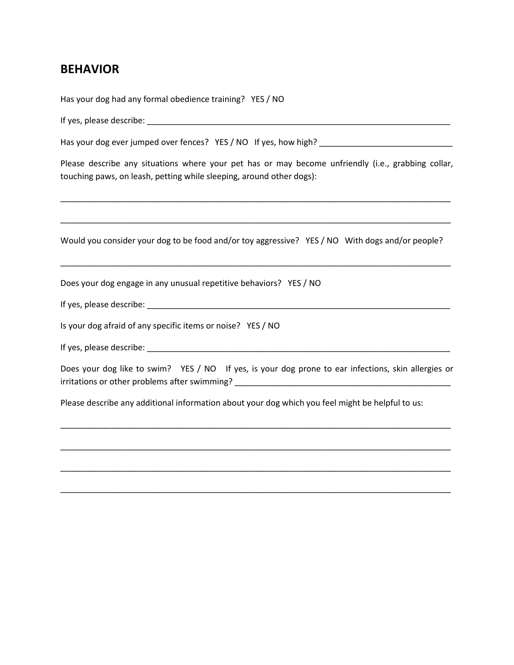## **BEHAVIOR**

Has your dog had any formal obedience training? YES / NO If yes, please describe:  $\blacksquare$ Has your dog ever jumped over fences? YES / NO If yes, how high? \_\_\_\_\_\_\_\_\_\_\_\_\_\_\_\_ Please describe any situations where your pet has or may become unfriendly (i.e., grabbing collar, touching paws, on leash, petting while sleeping, around other dogs): \_\_\_\_\_\_\_\_\_\_\_\_\_\_\_\_\_\_\_\_\_\_\_\_\_\_\_\_\_\_\_\_\_\_\_\_\_\_\_\_\_\_\_\_\_\_\_\_\_\_\_\_\_\_\_\_\_\_\_\_\_\_\_\_\_\_\_\_\_\_\_\_\_\_\_\_\_\_\_\_\_\_\_\_\_ \_\_\_\_\_\_\_\_\_\_\_\_\_\_\_\_\_\_\_\_\_\_\_\_\_\_\_\_\_\_\_\_\_\_\_\_\_\_\_\_\_\_\_\_\_\_\_\_\_\_\_\_\_\_\_\_\_\_\_\_\_\_\_\_\_\_\_\_\_\_\_\_\_\_\_\_\_\_\_\_\_\_\_\_\_ Would you consider your dog to be food and/or toy aggressive? YES / NO With dogs and/or people? \_\_\_\_\_\_\_\_\_\_\_\_\_\_\_\_\_\_\_\_\_\_\_\_\_\_\_\_\_\_\_\_\_\_\_\_\_\_\_\_\_\_\_\_\_\_\_\_\_\_\_\_\_\_\_\_\_\_\_\_\_\_\_\_\_\_\_\_\_\_\_\_\_\_\_\_\_\_\_\_\_\_\_\_\_ Does your dog engage in any unusual repetitive behaviors? YES / NO If yes, please describe: \_\_\_\_\_\_\_\_\_\_\_\_\_\_\_\_\_\_\_\_\_\_\_\_\_\_\_\_\_\_\_\_\_\_\_\_\_\_\_\_\_\_\_\_\_\_\_\_\_\_\_\_\_\_\_\_\_\_\_\_\_\_\_\_\_\_ Is your dog afraid of any specific items or noise? YES / NO If yes, please describe:  $\blacksquare$ Does your dog like to swim? YES / NO If yes, is your dog prone to ear infections, skin allergies or irritations or other problems after swimming? \_\_\_\_\_\_\_\_\_\_\_\_\_\_\_\_\_\_\_\_\_\_\_\_\_\_\_\_\_\_\_\_\_\_ Please describe any additional information about your dog which you feel might be helpful to us: \_\_\_\_\_\_\_\_\_\_\_\_\_\_\_\_\_\_\_\_\_\_\_\_\_\_\_\_\_\_\_\_\_\_\_\_\_\_\_\_\_\_\_\_\_\_\_\_\_\_\_\_\_\_\_\_\_\_\_\_\_\_\_\_\_\_\_\_\_\_\_\_\_\_\_\_\_\_\_\_\_\_\_\_\_ \_\_\_\_\_\_\_\_\_\_\_\_\_\_\_\_\_\_\_\_\_\_\_\_\_\_\_\_\_\_\_\_\_\_\_\_\_\_\_\_\_\_\_\_\_\_\_\_\_\_\_\_\_\_\_\_\_\_\_\_\_\_\_\_\_\_\_\_\_\_\_\_\_\_\_\_\_\_\_\_\_\_\_\_\_ \_\_\_\_\_\_\_\_\_\_\_\_\_\_\_\_\_\_\_\_\_\_\_\_\_\_\_\_\_\_\_\_\_\_\_\_\_\_\_\_\_\_\_\_\_\_\_\_\_\_\_\_\_\_\_\_\_\_\_\_\_\_\_\_\_\_\_\_\_\_\_\_\_\_\_\_\_\_\_\_\_\_\_\_\_ \_\_\_\_\_\_\_\_\_\_\_\_\_\_\_\_\_\_\_\_\_\_\_\_\_\_\_\_\_\_\_\_\_\_\_\_\_\_\_\_\_\_\_\_\_\_\_\_\_\_\_\_\_\_\_\_\_\_\_\_\_\_\_\_\_\_\_\_\_\_\_\_\_\_\_\_\_\_\_\_\_\_\_\_\_